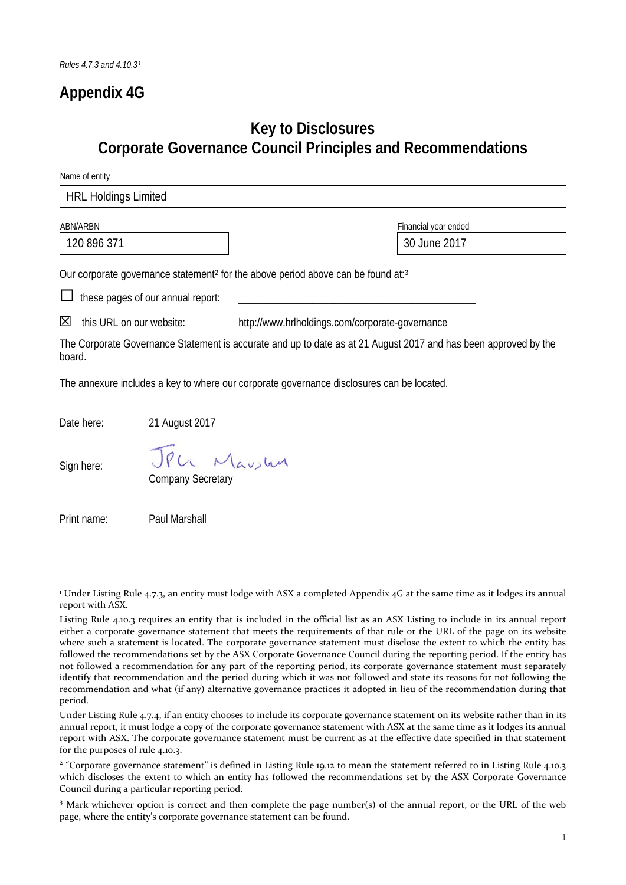## **Appendix 4G**

## **Key to Disclosures Corporate Governance Council Principles and Recommendations**

Name of entity

| <b>HRL Holdings Limited</b>                           |                                   |                                                                                                                 |  |
|-------------------------------------------------------|-----------------------------------|-----------------------------------------------------------------------------------------------------------------|--|
|                                                       |                                   |                                                                                                                 |  |
| ABN/ARBN                                              |                                   | Financial year ended                                                                                            |  |
| 120 896 371                                           |                                   | 30 June 2017                                                                                                    |  |
|                                                       |                                   | Our corporate governance statement <sup>2</sup> for the above period above can be found at: <sup>3</sup>        |  |
|                                                       | these pages of our annual report: |                                                                                                                 |  |
| ⊠<br>this URL on our website:                         |                                   | http://www.hrlholdings.com/corporate-governance                                                                 |  |
| board.                                                |                                   | The Corporate Governance Statement is accurate and up to date as at 21 August 2017 and has been approved by the |  |
|                                                       |                                   | The annexure includes a key to where our corporate governance disclosures can be located.                       |  |
| Date here:                                            | 21 August 2017                    |                                                                                                                 |  |
| JPU Mausten<br>Sign here:<br><b>Company Secretary</b> |                                   |                                                                                                                 |  |
| Print name:                                           | Paul Marshall                     |                                                                                                                 |  |

<span id="page-0-0"></span><sup>&</sup>lt;sup>1</sup> Under Listing Rule 4.7.3, an entity must lodge with ASX a completed Appendix 4G at the same time as it lodges its annual report with ASX.

Listing Rule 4.10.3 requires an entity that is included in the official list as an ASX Listing to include in its annual report either a corporate governance statement that meets the requirements of that rule or the URL of the page on its website where such a statement is located. The corporate governance statement must disclose the extent to which the entity has followed the recommendations set by the ASX Corporate Governance Council during the reporting period. If the entity has not followed a recommendation for any part of the reporting period, its corporate governance statement must separately identify that recommendation and the period during which it was not followed and state its reasons for not following the recommendation and what (if any) alternative governance practices it adopted in lieu of the recommendation during that period.

Under Listing Rule 4.7.4, if an entity chooses to include its corporate governance statement on its website rather than in its annual report, it must lodge a copy of the corporate governance statement with ASX at the same time as it lodges its annual report with ASX. The corporate governance statement must be current as at the effective date specified in that statement for the purposes of rule 4.10.3.

<span id="page-0-1"></span><sup>&</sup>lt;sup>2</sup> "Corporate governance statement" is defined in Listing Rule 19.12 to mean the statement referred to in Listing Rule 4.10.3 which discloses the extent to which an entity has followed the recommendations set by the ASX Corporate Governance Council during a particular reporting period.

<span id="page-0-2"></span><sup>3</sup> Mark whichever option is correct and then complete the page number(s) of the annual report, or the URL of the web page, where the entity's corporate governance statement can be found.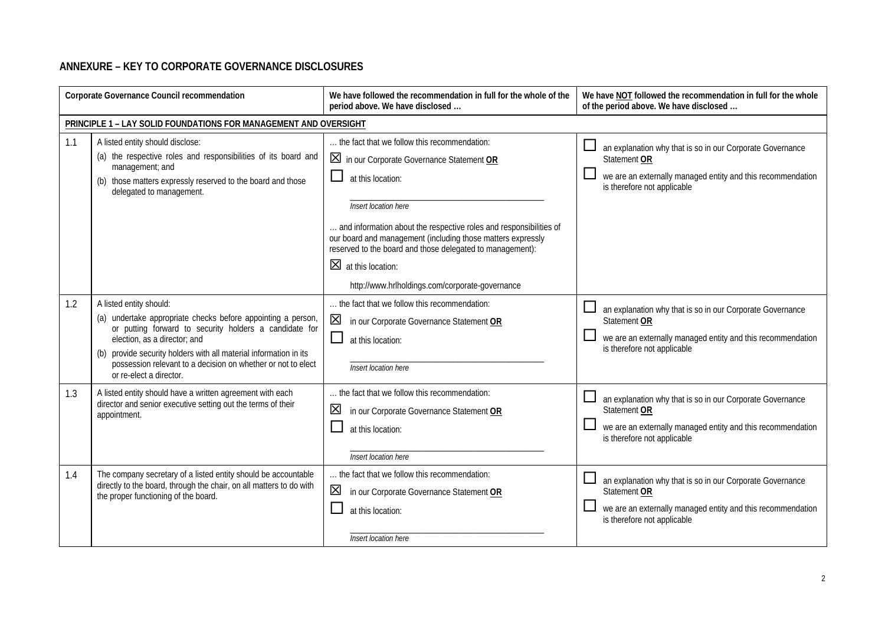## **ANNEXURE – KEY TO CORPORATE GOVERNANCE DISCLOSURES**

| Corporate Governance Council recommendation |                                                                                                                                                                                                                                                                                                                                                   | We have followed the recommendation in full for the whole of the<br>period above. We have disclosed                                                                                                                                                                                                                                                                                                                              | We have NOT followed the recommendation in full for the whole<br>of the period above. We have disclosed                                                                 |
|---------------------------------------------|---------------------------------------------------------------------------------------------------------------------------------------------------------------------------------------------------------------------------------------------------------------------------------------------------------------------------------------------------|----------------------------------------------------------------------------------------------------------------------------------------------------------------------------------------------------------------------------------------------------------------------------------------------------------------------------------------------------------------------------------------------------------------------------------|-------------------------------------------------------------------------------------------------------------------------------------------------------------------------|
|                                             | PRINCIPLE 1 - LAY SOLID FOUNDATIONS FOR MANAGEMENT AND OVERSIGHT                                                                                                                                                                                                                                                                                  |                                                                                                                                                                                                                                                                                                                                                                                                                                  |                                                                                                                                                                         |
| 1.1                                         | A listed entity should disclose:<br>(a) the respective roles and responsibilities of its board and<br>management; and<br>(b) those matters expressly reserved to the board and those<br>delegated to management.                                                                                                                                  | the fact that we follow this recommendation:<br>In our Corporate Governance Statement OR<br>ப<br>at this location:<br>Insert location here<br>and information about the respective roles and responsibilities of<br>our board and management (including those matters expressly<br>reserved to the board and those delegated to management):<br>$\boxtimes$ at this location:<br>http://www.hrlholdings.com/corporate-governance | an explanation why that is so in our Corporate Governance<br>Statement OR<br>we are an externally managed entity and this recommendation<br>is therefore not applicable |
| 1.2                                         | A listed entity should:<br>(a) undertake appropriate checks before appointing a person,<br>or putting forward to security holders a candidate for<br>election, as a director; and<br>(b) provide security holders with all material information in its<br>possession relevant to a decision on whether or not to elect<br>or re-elect a director. | the fact that we follow this recommendation:<br>$\boxtimes$<br>in our Corporate Governance Statement OR<br>ப<br>at this location:<br>Insert location here                                                                                                                                                                                                                                                                        | an explanation why that is so in our Corporate Governance<br>Statement OR<br>we are an externally managed entity and this recommendation<br>is therefore not applicable |
| 1.3                                         | A listed entity should have a written agreement with each<br>director and senior executive setting out the terms of their<br>appointment.                                                                                                                                                                                                         | the fact that we follow this recommendation:<br>⊠<br>in our Corporate Governance Statement OR<br>at this location:<br>Insert location here                                                                                                                                                                                                                                                                                       | an explanation why that is so in our Corporate Governance<br>Statement OR<br>we are an externally managed entity and this recommendation<br>is therefore not applicable |
| 1.4                                         | The company secretary of a listed entity should be accountable<br>directly to the board, through the chair, on all matters to do with<br>the proper functioning of the board.                                                                                                                                                                     | the fact that we follow this recommendation:<br>⊠<br>in our Corporate Governance Statement OR<br>at this location:<br>Insert location here                                                                                                                                                                                                                                                                                       | an explanation why that is so in our Corporate Governance<br>Statement OR<br>we are an externally managed entity and this recommendation<br>is therefore not applicable |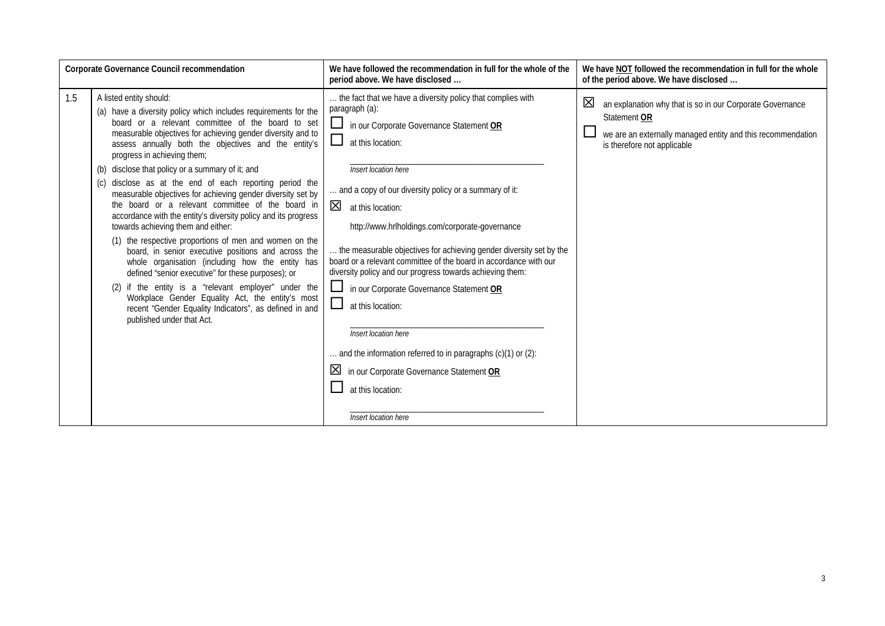| Corporate Governance Council recommendation |                                                                                                                                                                                                                                                                                                                                                                                                                                                                                                                                                                                                                                                                                                                                                                                                                                                                                                                                                                                                                                                                                      | We have followed the recommendation in full for the whole of the<br>period above. We have disclosed                                                                                                                                                                                                                                                                                                                                                                                                                                                                                                                                                                                                                                                                                                           | We have NOT followed the recommendation in full for the whole<br>of the period above. We have disclosed                                                                      |
|---------------------------------------------|--------------------------------------------------------------------------------------------------------------------------------------------------------------------------------------------------------------------------------------------------------------------------------------------------------------------------------------------------------------------------------------------------------------------------------------------------------------------------------------------------------------------------------------------------------------------------------------------------------------------------------------------------------------------------------------------------------------------------------------------------------------------------------------------------------------------------------------------------------------------------------------------------------------------------------------------------------------------------------------------------------------------------------------------------------------------------------------|---------------------------------------------------------------------------------------------------------------------------------------------------------------------------------------------------------------------------------------------------------------------------------------------------------------------------------------------------------------------------------------------------------------------------------------------------------------------------------------------------------------------------------------------------------------------------------------------------------------------------------------------------------------------------------------------------------------------------------------------------------------------------------------------------------------|------------------------------------------------------------------------------------------------------------------------------------------------------------------------------|
| 1.5                                         | A listed entity should:<br>(a) have a diversity policy which includes requirements for the<br>board or a relevant committee of the board to set<br>measurable objectives for achieving gender diversity and to<br>assess annually both the objectives and the entity's<br>progress in achieving them;<br>(b) disclose that policy or a summary of it; and<br>disclose as at the end of each reporting period the<br>(C)<br>measurable objectives for achieving gender diversity set by<br>the board or a relevant committee of the board in<br>accordance with the entity's diversity policy and its progress<br>towards achieving them and either:<br>(1) the respective proportions of men and women on the<br>board, in senior executive positions and across the<br>whole organisation (including how the entity has<br>defined "senior executive" for these purposes); or<br>if the entity is a "relevant employer" under the<br>(2)<br>Workplace Gender Equality Act, the entity's most<br>recent "Gender Equality Indicators", as defined in and<br>published under that Act. | the fact that we have a diversity policy that complies with<br>paragraph (a):<br>in our Corporate Governance Statement OR<br>$\Box$<br>at this location:<br>Insert location here<br>and a copy of our diversity policy or a summary of it:<br>$\boxtimes$ at this location:<br>http://www.hrlholdings.com/corporate-governance<br>the measurable objectives for achieving gender diversity set by the<br>board or a relevant committee of the board in accordance with our<br>diversity policy and our progress towards achieving them:<br>ப<br>in our Corporate Governance Statement OR<br>$\Box$<br>at this location:<br>Insert location here<br>and the information referred to in paragraphs (c)(1) or (2):<br>⊠<br>in our Corporate Governance Statement OR<br>at this location:<br>Insert location here | ⊠<br>an explanation why that is so in our Corporate Governance<br>Statement OR<br>we are an externally managed entity and this recommendation<br>is therefore not applicable |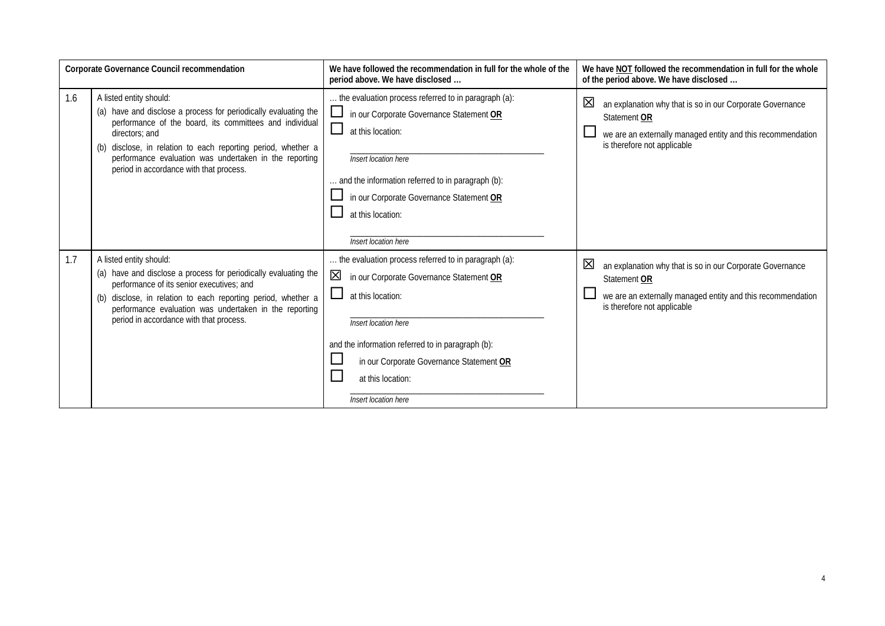| Corporate Governance Council recommendation |                                                                                                                                                                                                                                                                                                                                               | We have followed the recommendation in full for the whole of the<br>period above. We have disclosed                                                                                                                                                                                                        | We have NOT followed the recommendation in full for the whole<br>of the period above. We have disclosed                                                                      |
|---------------------------------------------|-----------------------------------------------------------------------------------------------------------------------------------------------------------------------------------------------------------------------------------------------------------------------------------------------------------------------------------------------|------------------------------------------------------------------------------------------------------------------------------------------------------------------------------------------------------------------------------------------------------------------------------------------------------------|------------------------------------------------------------------------------------------------------------------------------------------------------------------------------|
| 1.6                                         | A listed entity should:<br>(a) have and disclose a process for periodically evaluating the<br>performance of the board, its committees and individual<br>directors: and<br>(b) disclose, in relation to each reporting period, whether a<br>performance evaluation was undertaken in the reporting<br>period in accordance with that process. | the evaluation process referred to in paragraph (a):<br>ப<br>in our Corporate Governance Statement OR<br>$\Box$<br>at this location:<br>Insert location here<br>and the information referred to in paragraph (b):<br>in our Corporate Governance Statement OR<br>at this location:<br>Insert location here | 区<br>an explanation why that is so in our Corporate Governance<br>Statement OR<br>we are an externally managed entity and this recommendation<br>is therefore not applicable |
| 1.7                                         | A listed entity should:<br>(a) have and disclose a process for periodically evaluating the<br>performance of its senior executives; and<br>(b) disclose, in relation to each reporting period, whether a<br>performance evaluation was undertaken in the reporting<br>period in accordance with that process.                                 | the evaluation process referred to in paragraph (a):<br>⊠<br>in our Corporate Governance Statement OR<br>at this location:<br>Insert location here<br>and the information referred to in paragraph (b):<br>in our Corporate Governance Statement OR<br>at this location:<br>Insert location here           | 区<br>an explanation why that is so in our Corporate Governance<br>Statement OR<br>we are an externally managed entity and this recommendation<br>is therefore not applicable |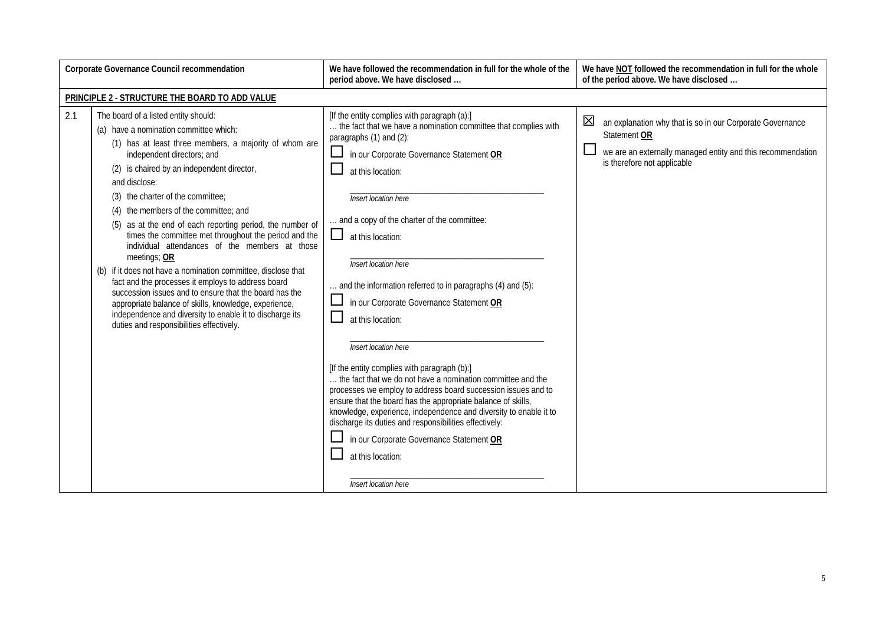| Corporate Governance Council recommendation |                                                                                                                                                                                                                                                                                                                                                                                                                                                                                                                                                                                                                                                                                                                                                                                                                                                                        | We have followed the recommendation in full for the whole of the<br>period above. We have disclosed                                                                                                                                                                                                                                                                                                                                                                                                                                                                                                                                                                                                                                                                                                                                                                                                                                                                  | We have NOT followed the recommendation in full for the whole<br>of the period above. We have disclosed                                                                      |
|---------------------------------------------|------------------------------------------------------------------------------------------------------------------------------------------------------------------------------------------------------------------------------------------------------------------------------------------------------------------------------------------------------------------------------------------------------------------------------------------------------------------------------------------------------------------------------------------------------------------------------------------------------------------------------------------------------------------------------------------------------------------------------------------------------------------------------------------------------------------------------------------------------------------------|----------------------------------------------------------------------------------------------------------------------------------------------------------------------------------------------------------------------------------------------------------------------------------------------------------------------------------------------------------------------------------------------------------------------------------------------------------------------------------------------------------------------------------------------------------------------------------------------------------------------------------------------------------------------------------------------------------------------------------------------------------------------------------------------------------------------------------------------------------------------------------------------------------------------------------------------------------------------|------------------------------------------------------------------------------------------------------------------------------------------------------------------------------|
|                                             | PRINCIPLE 2 - STRUCTURE THE BOARD TO ADD VALUE                                                                                                                                                                                                                                                                                                                                                                                                                                                                                                                                                                                                                                                                                                                                                                                                                         |                                                                                                                                                                                                                                                                                                                                                                                                                                                                                                                                                                                                                                                                                                                                                                                                                                                                                                                                                                      |                                                                                                                                                                              |
| 2.1                                         | The board of a listed entity should:<br>(a) have a nomination committee which:<br>(1) has at least three members, a majority of whom are<br>independent directors; and<br>(2) is chaired by an independent director,<br>and disclose:<br>the charter of the committee;<br>(3)<br>the members of the committee; and<br>(4)<br>as at the end of each reporting period, the number of<br>(5)<br>times the committee met throughout the period and the<br>individual attendances of the members at those<br>meetings; OR<br>(b) if it does not have a nomination committee, disclose that<br>fact and the processes it employs to address board<br>succession issues and to ensure that the board has the<br>appropriate balance of skills, knowledge, experience,<br>independence and diversity to enable it to discharge its<br>duties and responsibilities effectively. | [If the entity complies with paragraph (a):]<br>the fact that we have a nomination committee that complies with<br>paragraphs (1) and (2):<br>in our Corporate Governance Statement OR<br>at this location:<br>Insert location here<br>and a copy of the charter of the committee:<br>⊔.<br>at this location:<br>Insert location here<br>and the information referred to in paragraphs (4) and (5):<br>in our Corporate Governance Statement OR<br>at this location:<br>Insert location here<br>[If the entity complies with paragraph (b):]<br>the fact that we do not have a nomination committee and the<br>processes we employ to address board succession issues and to<br>ensure that the board has the appropriate balance of skills,<br>knowledge, experience, independence and diversity to enable it to<br>discharge its duties and responsibilities effectively:<br>in our Corporate Governance Statement OR<br>at this location:<br>Insert location here | 区<br>an explanation why that is so in our Corporate Governance<br>Statement OR<br>we are an externally managed entity and this recommendation<br>is therefore not applicable |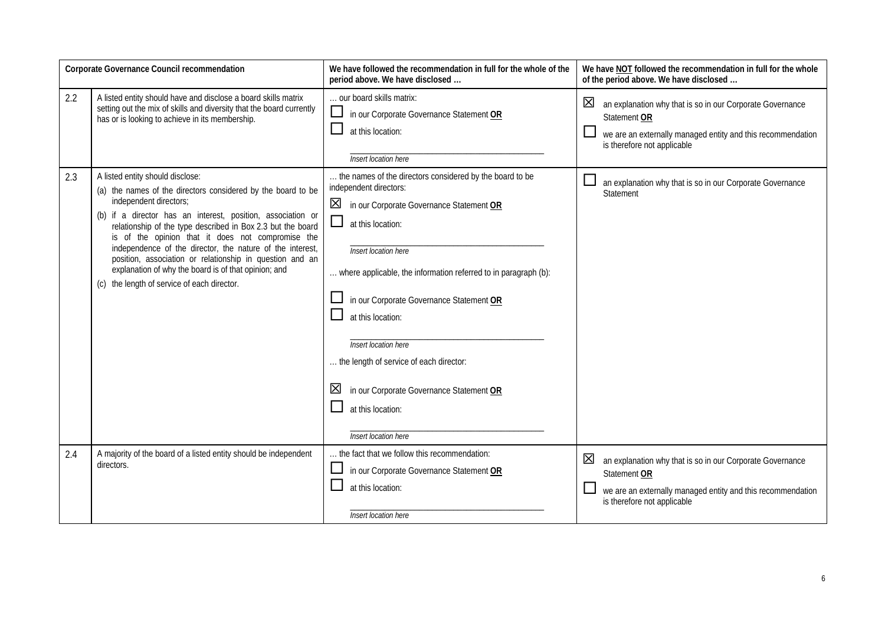| Corporate Governance Council recommendation |                                                                                                                                                                                                                                                                                                                                                                                                                                                                                                                                               | We have followed the recommendation in full for the whole of the<br>period above. We have disclosed                                                                                                                                                                                                                                                                                                                                                                                                         | We have NOT followed the recommendation in full for the whole<br>of the period above. We have disclosed                                                                      |
|---------------------------------------------|-----------------------------------------------------------------------------------------------------------------------------------------------------------------------------------------------------------------------------------------------------------------------------------------------------------------------------------------------------------------------------------------------------------------------------------------------------------------------------------------------------------------------------------------------|-------------------------------------------------------------------------------------------------------------------------------------------------------------------------------------------------------------------------------------------------------------------------------------------------------------------------------------------------------------------------------------------------------------------------------------------------------------------------------------------------------------|------------------------------------------------------------------------------------------------------------------------------------------------------------------------------|
| 2.2                                         | A listed entity should have and disclose a board skills matrix<br>setting out the mix of skills and diversity that the board currently<br>has or is looking to achieve in its membership.                                                                                                                                                                                                                                                                                                                                                     | our board skills matrix:<br>⊔<br>in our Corporate Governance Statement OR<br>at this location:<br>Insert location here                                                                                                                                                                                                                                                                                                                                                                                      | 区<br>an explanation why that is so in our Corporate Governance<br>Statement OR<br>we are an externally managed entity and this recommendation<br>is therefore not applicable |
| 2.3                                         | A listed entity should disclose:<br>(a) the names of the directors considered by the board to be<br>independent directors;<br>(b) if a director has an interest, position, association or<br>relationship of the type described in Box 2.3 but the board<br>is of the opinion that it does not compromise the<br>independence of the director, the nature of the interest,<br>position, association or relationship in question and an<br>explanation of why the board is of that opinion; and<br>(c) the length of service of each director. | the names of the directors considered by the board to be<br>independent directors:<br>$\boxtimes$<br>in our Corporate Governance Statement OR<br>$\sqcup$<br>at this location:<br>Insert location here<br>where applicable, the information referred to in paragraph (b):<br>in our Corporate Governance Statement OR<br>at this location:<br>Insert location here<br>the length of service of each director:<br>in our Corporate Governance Statement OR<br>⊠<br>at this location:<br>Insert location here | an explanation why that is so in our Corporate Governance<br>Statement                                                                                                       |
| 2.4                                         | A majority of the board of a listed entity should be independent<br>directors.                                                                                                                                                                                                                                                                                                                                                                                                                                                                | the fact that we follow this recommendation:<br>in our Corporate Governance Statement OR<br>at this location:<br>Insert location here                                                                                                                                                                                                                                                                                                                                                                       | 区<br>an explanation why that is so in our Corporate Governance<br>Statement OR<br>we are an externally managed entity and this recommendation<br>is therefore not applicable |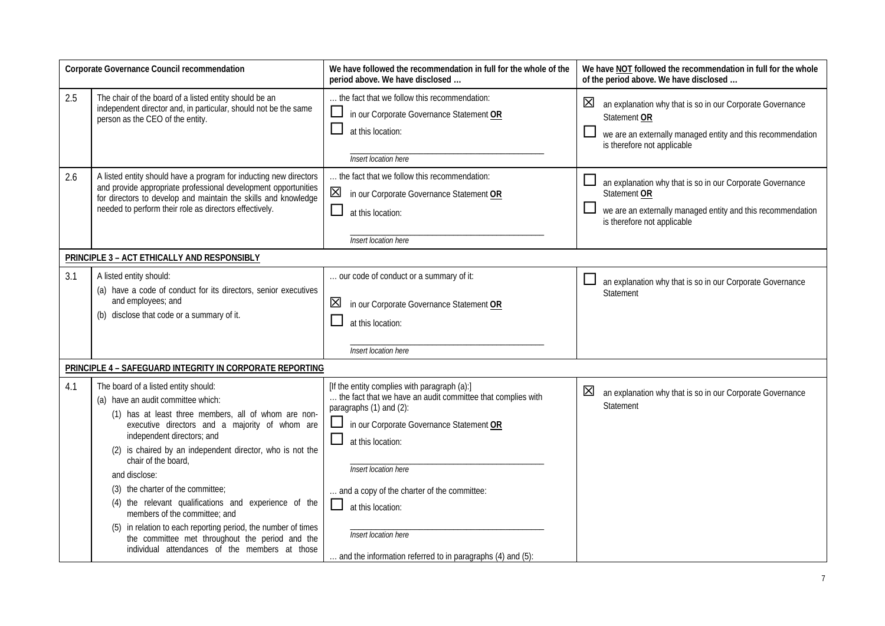| Corporate Governance Council recommendation |                                                                                                                                                                                                                                                                                                                                                                                                                                                                                                                                                                                                                          | We have followed the recommendation in full for the whole of the<br>period above. We have disclosed                                                                                                                                                                                                                                                                                                 | We have NOT followed the recommendation in full for the whole<br>of the period above. We have disclosed                                                                                |
|---------------------------------------------|--------------------------------------------------------------------------------------------------------------------------------------------------------------------------------------------------------------------------------------------------------------------------------------------------------------------------------------------------------------------------------------------------------------------------------------------------------------------------------------------------------------------------------------------------------------------------------------------------------------------------|-----------------------------------------------------------------------------------------------------------------------------------------------------------------------------------------------------------------------------------------------------------------------------------------------------------------------------------------------------------------------------------------------------|----------------------------------------------------------------------------------------------------------------------------------------------------------------------------------------|
| 2.5                                         | The chair of the board of a listed entity should be an<br>independent director and, in particular, should not be the same<br>person as the CEO of the entity.                                                                                                                                                                                                                                                                                                                                                                                                                                                            | the fact that we follow this recommendation:<br>in our Corporate Governance Statement OR<br>at this location:<br>Insert location here                                                                                                                                                                                                                                                               | $\boxtimes$<br>an explanation why that is so in our Corporate Governance<br>Statement OR<br>we are an externally managed entity and this recommendation<br>is therefore not applicable |
| 2.6                                         | A listed entity should have a program for inducting new directors<br>and provide appropriate professional development opportunities<br>for directors to develop and maintain the skills and knowledge<br>needed to perform their role as directors effectively.                                                                                                                                                                                                                                                                                                                                                          | the fact that we follow this recommendation:<br>区<br>in our Corporate Governance Statement OR<br>ப<br>at this location:<br>Insert location here                                                                                                                                                                                                                                                     | an explanation why that is so in our Corporate Governance<br>Statement OR<br>we are an externally managed entity and this recommendation<br>is therefore not applicable                |
|                                             | PRINCIPLE 3 - ACT ETHICALLY AND RESPONSIBLY                                                                                                                                                                                                                                                                                                                                                                                                                                                                                                                                                                              |                                                                                                                                                                                                                                                                                                                                                                                                     |                                                                                                                                                                                        |
| 3.1                                         | A listed entity should:<br>(a) have a code of conduct for its directors, senior executives<br>and employees; and<br>(b) disclose that code or a summary of it.                                                                                                                                                                                                                                                                                                                                                                                                                                                           | our code of conduct or a summary of it:<br>区<br>in our Corporate Governance Statement OR<br>at this location:<br>Insert location here                                                                                                                                                                                                                                                               | an explanation why that is so in our Corporate Governance<br>Statement                                                                                                                 |
|                                             | PRINCIPLE 4 - SAFEGUARD INTEGRITY IN CORPORATE REPORTING                                                                                                                                                                                                                                                                                                                                                                                                                                                                                                                                                                 |                                                                                                                                                                                                                                                                                                                                                                                                     |                                                                                                                                                                                        |
| 4.1                                         | The board of a listed entity should:<br>(a) have an audit committee which:<br>(1) has at least three members, all of whom are non-<br>executive directors and a majority of whom are<br>independent directors; and<br>(2) is chaired by an independent director, who is not the<br>chair of the board,<br>and disclose:<br>(3) the charter of the committee;<br>(4) the relevant qualifications and experience of the<br>members of the committee; and<br>in relation to each reporting period, the number of times<br>the committee met throughout the period and the<br>individual attendances of the members at those | [If the entity complies with paragraph (a):]<br>the fact that we have an audit committee that complies with<br>paragraphs (1) and (2):<br>in our Corporate Governance Statement OR<br>ப<br>at this location:<br>Insert location here<br>and a copy of the charter of the committee:<br>□<br>at this location:<br>Insert location here<br>and the information referred to in paragraphs (4) and (5): | 区<br>an explanation why that is so in our Corporate Governance<br>Statement                                                                                                            |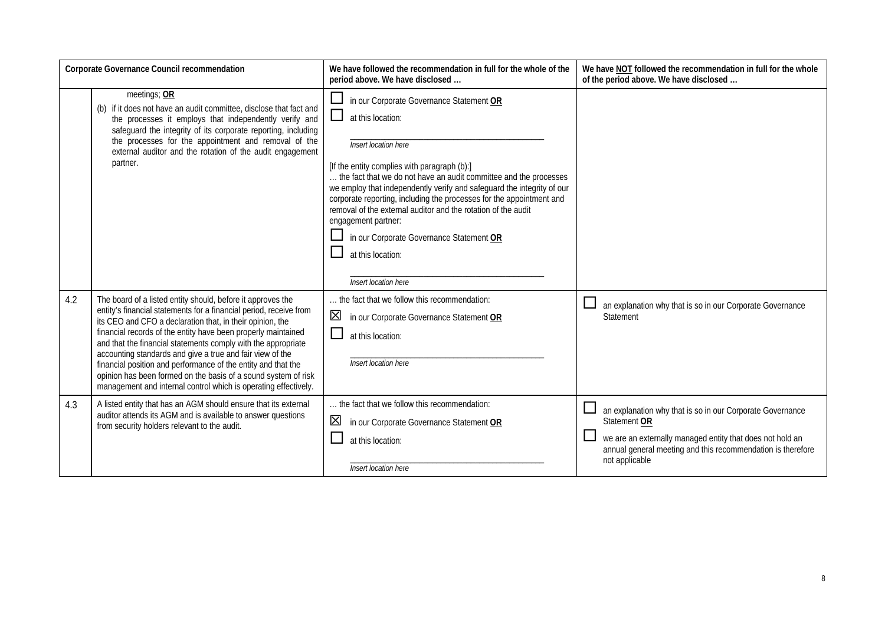| Corporate Governance Council recommendation |                                                                                                                                                                                                                                                                                                                                                                                                                                                                                                                                                                                                     | We have followed the recommendation in full for the whole of the<br>period above. We have disclosed                                                                                                                                                                                                                                                                                                                                                                                                                                           | We have NOT followed the recommendation in full for the whole<br>of the period above. We have disclosed                                                                                                                 |
|---------------------------------------------|-----------------------------------------------------------------------------------------------------------------------------------------------------------------------------------------------------------------------------------------------------------------------------------------------------------------------------------------------------------------------------------------------------------------------------------------------------------------------------------------------------------------------------------------------------------------------------------------------------|-----------------------------------------------------------------------------------------------------------------------------------------------------------------------------------------------------------------------------------------------------------------------------------------------------------------------------------------------------------------------------------------------------------------------------------------------------------------------------------------------------------------------------------------------|-------------------------------------------------------------------------------------------------------------------------------------------------------------------------------------------------------------------------|
|                                             | meetings; OR<br>(b) if it does not have an audit committee, disclose that fact and<br>the processes it employs that independently verify and<br>safeguard the integrity of its corporate reporting, including<br>the processes for the appointment and removal of the<br>external auditor and the rotation of the audit engagement<br>partner.                                                                                                                                                                                                                                                      | in our Corporate Governance Statement OR<br>at this location:<br>Insert location here<br>[If the entity complies with paragraph (b):]<br>the fact that we do not have an audit committee and the processes<br>we employ that independently verify and safeguard the integrity of our<br>corporate reporting, including the processes for the appointment and<br>removal of the external auditor and the rotation of the audit<br>engagement partner:<br>in our Corporate Governance Statement OR<br>at this location:<br>Insert location here |                                                                                                                                                                                                                         |
| 4.2                                         | The board of a listed entity should, before it approves the<br>entity's financial statements for a financial period, receive from<br>its CEO and CFO a declaration that, in their opinion, the<br>financial records of the entity have been properly maintained<br>and that the financial statements comply with the appropriate<br>accounting standards and give a true and fair view of the<br>financial position and performance of the entity and that the<br>opinion has been formed on the basis of a sound system of risk<br>management and internal control which is operating effectively. | the fact that we follow this recommendation:<br>⊠<br>in our Corporate Governance Statement OR<br>at this location:<br>Insert location here                                                                                                                                                                                                                                                                                                                                                                                                    | an explanation why that is so in our Corporate Governance<br>Statement                                                                                                                                                  |
| 4.3                                         | A listed entity that has an AGM should ensure that its external<br>auditor attends its AGM and is available to answer questions<br>from security holders relevant to the audit.                                                                                                                                                                                                                                                                                                                                                                                                                     | . the fact that we follow this recommendation:<br>in our Corporate Governance Statement OR<br>at this location:<br>Insert location here                                                                                                                                                                                                                                                                                                                                                                                                       | an explanation why that is so in our Corporate Governance<br>Statement OR<br>we are an externally managed entity that does not hold an<br>annual general meeting and this recommendation is therefore<br>not applicable |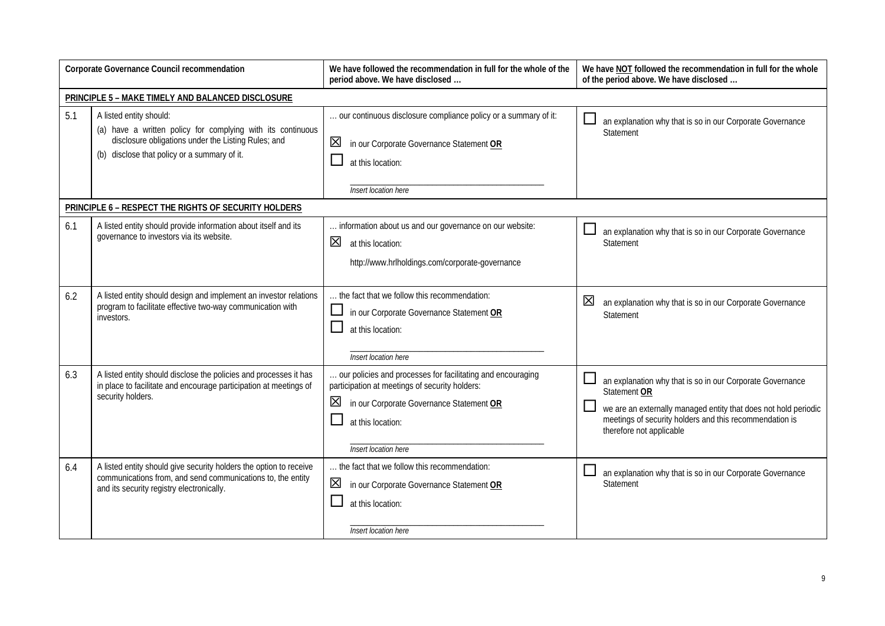| Corporate Governance Council recommendation |                                                                                                                                                                                               | We have followed the recommendation in full for the whole of the<br>period above. We have disclosed                                                                                                         | We have NOT followed the recommendation in full for the whole<br>of the period above. We have disclosed                                                                                                                                       |
|---------------------------------------------|-----------------------------------------------------------------------------------------------------------------------------------------------------------------------------------------------|-------------------------------------------------------------------------------------------------------------------------------------------------------------------------------------------------------------|-----------------------------------------------------------------------------------------------------------------------------------------------------------------------------------------------------------------------------------------------|
|                                             | PRINCIPLE 5 - MAKE TIMELY AND BALANCED DISCLOSURE                                                                                                                                             |                                                                                                                                                                                                             |                                                                                                                                                                                                                                               |
| 5.1                                         | A listed entity should:<br>(a) have a written policy for complying with its continuous<br>disclosure obligations under the Listing Rules; and<br>(b) disclose that policy or a summary of it. | our continuous disclosure compliance policy or a summary of it:<br>区<br>in our Corporate Governance Statement OR<br>at this location:<br><b>Insert location</b> here                                        | an explanation why that is so in our Corporate Governance<br>Statement                                                                                                                                                                        |
|                                             | PRINCIPLE 6 - RESPECT THE RIGHTS OF SECURITY HOLDERS                                                                                                                                          |                                                                                                                                                                                                             |                                                                                                                                                                                                                                               |
| 6.1                                         | A listed entity should provide information about itself and its<br>governance to investors via its website.                                                                                   | information about us and our governance on our website:<br>区<br>at this location:<br>http://www.hrlholdings.com/corporate-governance                                                                        | an explanation why that is so in our Corporate Governance<br>Statement                                                                                                                                                                        |
| 6.2                                         | A listed entity should design and implement an investor relations<br>program to facilitate effective two-way communication with<br>investors.                                                 | the fact that we follow this recommendation:<br>in our Corporate Governance Statement OR<br>at this location:<br>Insert location here                                                                       | 区<br>an explanation why that is so in our Corporate Governance<br>Statement                                                                                                                                                                   |
| 6.3                                         | A listed entity should disclose the policies and processes it has<br>in place to facilitate and encourage participation at meetings of<br>security holders.                                   | our policies and processes for facilitating and encouraging<br>participation at meetings of security holders:<br>区<br>in our Corporate Governance Statement OR<br>at this location:<br>Insert location here | $\Box$<br>an explanation why that is so in our Corporate Governance<br>Statement OR<br>we are an externally managed entity that does not hold periodic<br>meetings of security holders and this recommendation is<br>therefore not applicable |
| 6.4                                         | A listed entity should give security holders the option to receive<br>communications from, and send communications to, the entity<br>and its security registry electronically.                | the fact that we follow this recommendation:<br>区<br>in our Corporate Governance Statement OR<br>at this location:<br>Insert location here                                                                  | an explanation why that is so in our Corporate Governance<br>Statement                                                                                                                                                                        |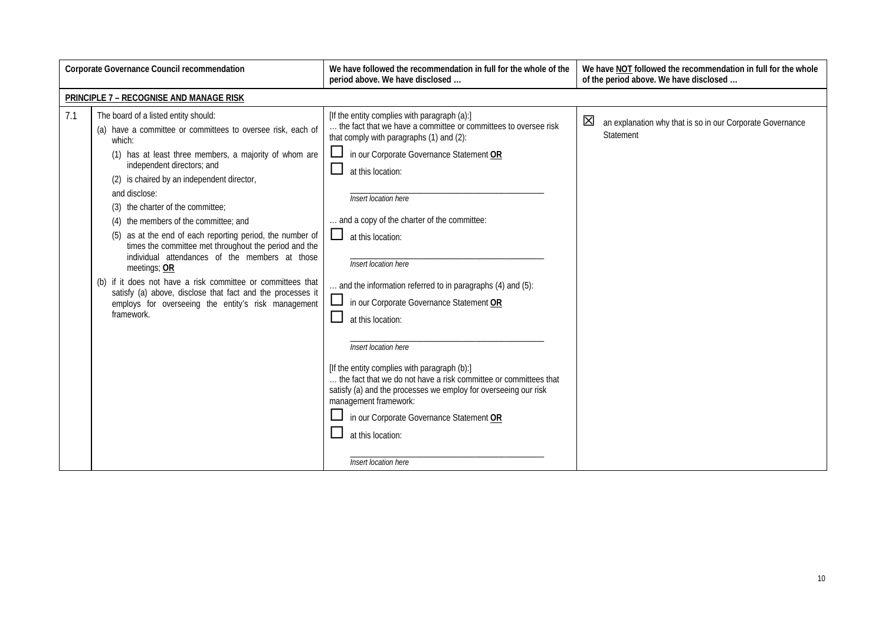| <b>Corporate Governance Council recommendation</b> |                                                                                                                                                                                                                                                                                                                                                                                                                                                                                                                                                                                                                                                                                                                                                 | We have followed the recommendation in full for the whole of the<br>period above. We have disclosed                                                                                                                                                                                                                                                                                                                                                                                                                                                                                                                                                                                                                                                                                                                     | We have NOT followed the recommendation in full for the whole<br>of the period above. We have disclosed |
|----------------------------------------------------|-------------------------------------------------------------------------------------------------------------------------------------------------------------------------------------------------------------------------------------------------------------------------------------------------------------------------------------------------------------------------------------------------------------------------------------------------------------------------------------------------------------------------------------------------------------------------------------------------------------------------------------------------------------------------------------------------------------------------------------------------|-------------------------------------------------------------------------------------------------------------------------------------------------------------------------------------------------------------------------------------------------------------------------------------------------------------------------------------------------------------------------------------------------------------------------------------------------------------------------------------------------------------------------------------------------------------------------------------------------------------------------------------------------------------------------------------------------------------------------------------------------------------------------------------------------------------------------|---------------------------------------------------------------------------------------------------------|
|                                                    | PRINCIPLE 7 - RECOGNISE AND MANAGE RISK                                                                                                                                                                                                                                                                                                                                                                                                                                                                                                                                                                                                                                                                                                         |                                                                                                                                                                                                                                                                                                                                                                                                                                                                                                                                                                                                                                                                                                                                                                                                                         |                                                                                                         |
| 7.1                                                | The board of a listed entity should:<br>(a) have a committee or committees to oversee risk, each of<br>which:<br>(1) has at least three members, a majority of whom are<br>independent directors; and<br>(2) is chaired by an independent director,<br>and disclose:<br>(3) the charter of the committee;<br>(4) the members of the committee; and<br>as at the end of each reporting period, the number of<br>(5)<br>times the committee met throughout the period and the<br>individual attendances of the members at those<br>meetings; OR<br>(b) if it does not have a risk committee or committees that<br>satisfy (a) above, disclose that fact and the processes it<br>employs for overseeing the entity's risk management<br>framework. | [If the entity complies with paragraph (a):]<br>the fact that we have a committee or committees to oversee risk<br>that comply with paragraphs (1) and (2):<br>in our Corporate Governance Statement OR<br>at this location:<br>Insert location here<br>and a copy of the charter of the committee:<br>ப<br>at this location:<br>Insert location here<br>and the information referred to in paragraphs (4) and (5):<br>in our Corporate Governance Statement OR<br>at this location:<br>Insert location here<br>[If the entity complies with paragraph (b):]<br>. the fact that we do not have a risk committee or committees that<br>satisfy (a) and the processes we employ for overseeing our risk<br>management framework:<br>in our Corporate Governance Statement OR<br>at this location:<br>Insert location here | 区<br>an explanation why that is so in our Corporate Governance<br>Statement                             |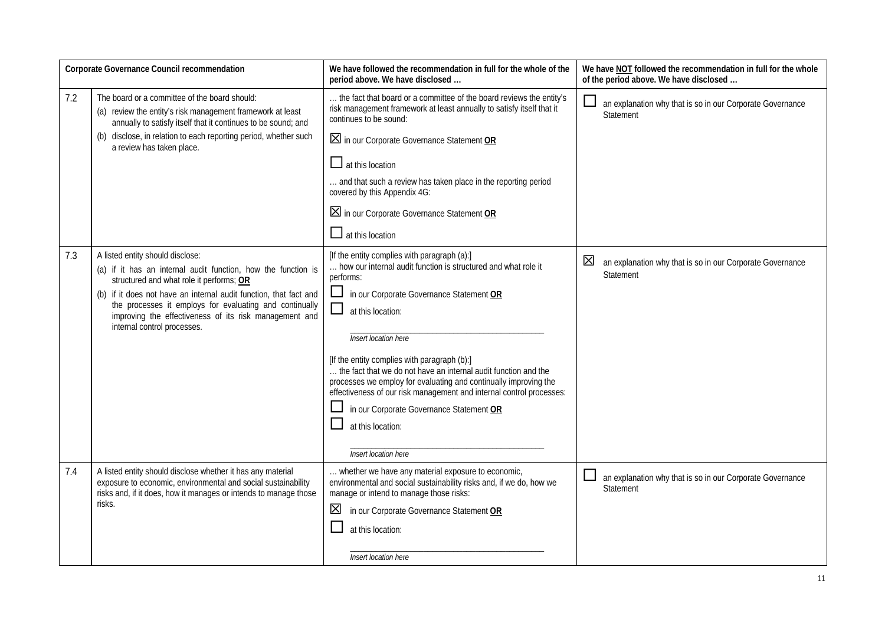| Corporate Governance Council recommendation |                                                                                                                                                                                                                                                                                                                                                                        | We have followed the recommendation in full for the whole of the<br>period above. We have disclosed                                                                                                                                                                                                                                                                                                                                                                                                                                                                                                | We have NOT followed the recommendation in full for the whole<br>of the period above. We have disclosed |
|---------------------------------------------|------------------------------------------------------------------------------------------------------------------------------------------------------------------------------------------------------------------------------------------------------------------------------------------------------------------------------------------------------------------------|----------------------------------------------------------------------------------------------------------------------------------------------------------------------------------------------------------------------------------------------------------------------------------------------------------------------------------------------------------------------------------------------------------------------------------------------------------------------------------------------------------------------------------------------------------------------------------------------------|---------------------------------------------------------------------------------------------------------|
| 7.2                                         | The board or a committee of the board should:<br>(a) review the entity's risk management framework at least<br>annually to satisfy itself that it continues to be sound; and<br>(b) disclose, in relation to each reporting period, whether such<br>a review has taken place.                                                                                          | the fact that board or a committee of the board reviews the entity's<br>risk management framework at least annually to satisfy itself that it<br>continues to be sound:<br>$\boxtimes$ in our Corporate Governance Statement OR<br>$\Box$ at this location<br>and that such a review has taken place in the reporting period<br>covered by this Appendix 4G:<br>$\boxtimes$ in our Corporate Governance Statement OR<br>$\Box$ at this location                                                                                                                                                    | an explanation why that is so in our Corporate Governance<br><b>Statement</b>                           |
| 7.3                                         | A listed entity should disclose:<br>(a) if it has an internal audit function, how the function is<br>structured and what role it performs; OR<br>(b) if it does not have an internal audit function, that fact and<br>the processes it employs for evaluating and continually<br>improving the effectiveness of its risk management and<br>internal control processes. | [If the entity complies with paragraph (a):]<br>how our internal audit function is structured and what role it<br>performs:<br>in our Corporate Governance Statement OR<br>ப<br>$\Box$<br>at this location:<br>Insert location here<br>[If the entity complies with paragraph (b):]<br>the fact that we do not have an internal audit function and the<br>processes we employ for evaluating and continually improving the<br>effectiveness of our risk management and internal control processes:<br>in our Corporate Governance Statement OR<br>at this location:<br><b>Insert location here</b> | $\boxtimes$<br>an explanation why that is so in our Corporate Governance<br>Statement                   |
| 7.4                                         | A listed entity should disclose whether it has any material<br>exposure to economic, environmental and social sustainability<br>risks and, if it does, how it manages or intends to manage those<br>risks.                                                                                                                                                             | whether we have any material exposure to economic,<br>environmental and social sustainability risks and, if we do, how we<br>manage or intend to manage those risks:<br>in our Corporate Governance Statement OR<br>⊠<br>at this location:<br>Insert location here                                                                                                                                                                                                                                                                                                                                 | an explanation why that is so in our Corporate Governance<br>Statement                                  |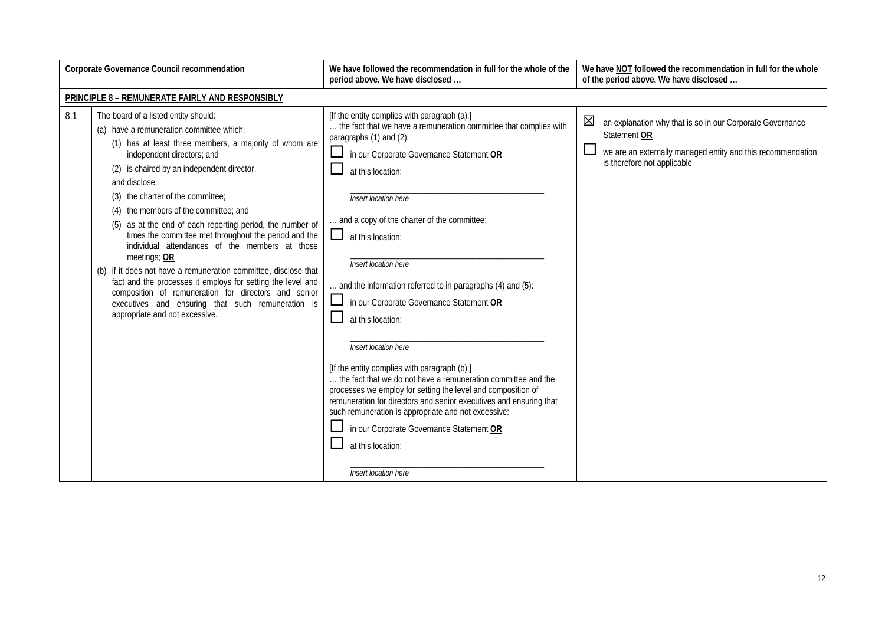| <b>Corporate Governance Council recommendation</b> |                                                                                                                                                                                                                                                                                                                                                                                                                                                                                                                                                                                                                                                                                                                                                                                                         | We have followed the recommendation in full for the whole of the<br>period above. We have disclosed                                                                                                                                                                                                                                                                                                                                                                                                                                                                                                                                                                                                                                                                                                                                                                                                           | We have NOT followed the recommendation in full for the whole<br>of the period above. We have disclosed                                                                                |
|----------------------------------------------------|---------------------------------------------------------------------------------------------------------------------------------------------------------------------------------------------------------------------------------------------------------------------------------------------------------------------------------------------------------------------------------------------------------------------------------------------------------------------------------------------------------------------------------------------------------------------------------------------------------------------------------------------------------------------------------------------------------------------------------------------------------------------------------------------------------|---------------------------------------------------------------------------------------------------------------------------------------------------------------------------------------------------------------------------------------------------------------------------------------------------------------------------------------------------------------------------------------------------------------------------------------------------------------------------------------------------------------------------------------------------------------------------------------------------------------------------------------------------------------------------------------------------------------------------------------------------------------------------------------------------------------------------------------------------------------------------------------------------------------|----------------------------------------------------------------------------------------------------------------------------------------------------------------------------------------|
|                                                    | PRINCIPLE 8 - REMUNERATE FAIRLY AND RESPONSIBLY                                                                                                                                                                                                                                                                                                                                                                                                                                                                                                                                                                                                                                                                                                                                                         |                                                                                                                                                                                                                                                                                                                                                                                                                                                                                                                                                                                                                                                                                                                                                                                                                                                                                                               |                                                                                                                                                                                        |
| 8.1                                                | The board of a listed entity should:<br>(a) have a remuneration committee which:<br>(1) has at least three members, a majority of whom are<br>independent directors; and<br>(2) is chaired by an independent director,<br>and disclose:<br>the charter of the committee;<br>(3)<br>the members of the committee; and<br>(4)<br>as at the end of each reporting period, the number of<br>(5)<br>times the committee met throughout the period and the<br>individual attendances of the members at those<br>meetings; OR<br>(b) if it does not have a remuneration committee, disclose that<br>fact and the processes it employs for setting the level and<br>composition of remuneration for directors and senior<br>executives and ensuring that such remuneration is<br>appropriate and not excessive. | [If the entity complies with paragraph (a):]<br>the fact that we have a remuneration committee that complies with<br>paragraphs (1) and (2):<br>in our Corporate Governance Statement OR<br>at this location:<br>Insert location here<br>and a copy of the charter of the committee:<br>ப<br>at this location:<br>Insert location here<br>$\ldots$ and the information referred to in paragraphs (4) and (5):<br>in our Corporate Governance Statement OR<br>at this location:<br>Insert location here<br>[If the entity complies with paragraph (b):]<br>the fact that we do not have a remuneration committee and the<br>processes we employ for setting the level and composition of<br>remuneration for directors and senior executives and ensuring that<br>such remuneration is appropriate and not excessive:<br>in our Corporate Governance Statement OR<br>at this location:<br>Insert location here | $\boxtimes$<br>an explanation why that is so in our Corporate Governance<br>Statement OR<br>we are an externally managed entity and this recommendation<br>is therefore not applicable |